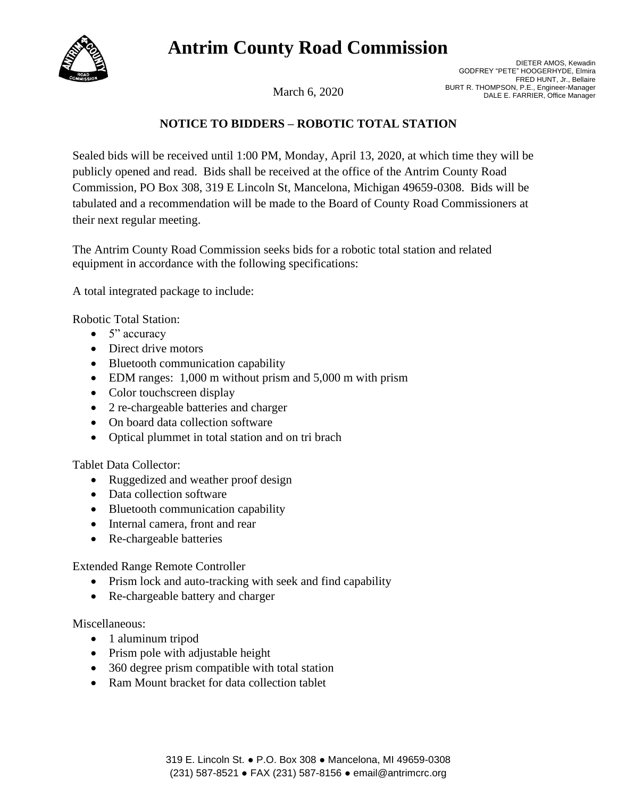## **Antrim County Road Commission**



DIETER AMOS, Kewadin GODFREY "PETE" HOOGERHYDE, Elmira FRED HUNT, Jr., Bellaire BURT R. THOMPSON, P.E., Engineer-Manager<br>DALE E. FARRIER, Office Manager

## **NOTICE TO BIDDERS – ROBOTIC TOTAL STATION**

Sealed bids will be received until 1:00 PM, Monday, April 13, 2020, at which time they will be publicly opened and read. Bids shall be received at the office of the Antrim County Road Commission, PO Box 308, 319 E Lincoln St, Mancelona, Michigan 49659-0308. Bids will be tabulated and a recommendation will be made to the Board of County Road Commissioners at their next regular meeting.

The Antrim County Road Commission seeks bids for a robotic total station and related equipment in accordance with the following specifications:

A total integrated package to include:

Robotic Total Station:

- $\bullet$  5" accuracy
- Direct drive motors
- Bluetooth communication capability
- EDM ranges: 1,000 m without prism and 5,000 m with prism
- Color touchscreen display
- 2 re-chargeable batteries and charger
- On board data collection software
- Optical plummet in total station and on tri brach

Tablet Data Collector:

- Ruggedized and weather proof design
- Data collection software
- Bluetooth communication capability
- Internal camera, front and rear
- Re-chargeable batteries

Extended Range Remote Controller

- Prism lock and auto-tracking with seek and find capability
- Re-chargeable battery and charger

Miscellaneous:

- 1 aluminum tripod
- Prism pole with adjustable height
- 360 degree prism compatible with total station
- Ram Mount bracket for data collection tablet